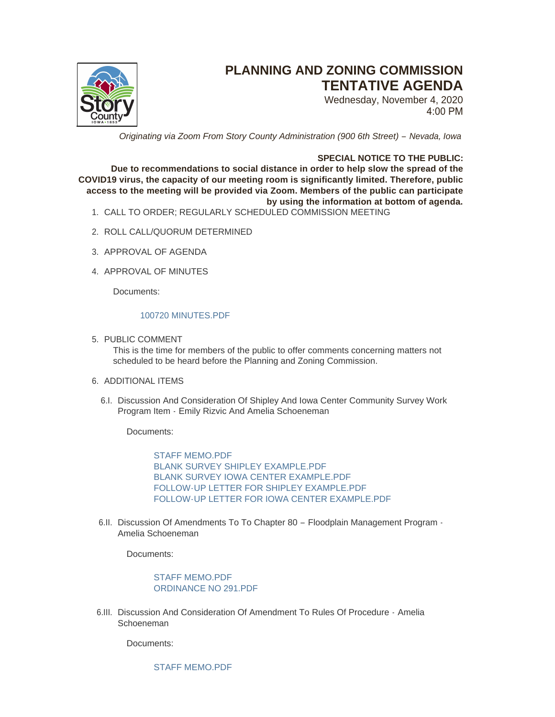

# **PLANNING AND ZONING COMMISSION TENTATIVE AGENDA**

Wednesday, November 4, 2020 4:00 PM

*Originating via Zoom From Story County Administration (900 6th Street) – Nevada, Iowa* 

## **SPECIAL NOTICE TO THE PUBLIC:**

**Due to recommendations to social distance in order to help slow the spread of the COVID19 virus, the capacity of our meeting room is significantly limited. Therefore, public access to the meeting will be provided via Zoom. Members of the public can participate by using the information at bottom of agenda.**

- CALL TO ORDER; REGULARLY SCHEDULED COMMISSION MEETING 1.
- 2. ROLL CALL/QUORUM DETERMINED
- 3. APPROVAL OF AGENDA
- 4. APPROVAL OF MINUTES

Documents:

#### [100720 MINUTES.PDF](http://www.storycountyiowa.gov/AgendaCenter/ViewFile/Item/19325?fileID=14714)

5. PUBLIC COMMENT

This is the time for members of the public to offer comments concerning matters not scheduled to be heard before the Planning and Zoning Commission.

## 6. ADDITIONAL ITEMS

6.I. Discussion And Consideration Of Shipley And Iowa Center Community Survey Work Program Item - Emily Rizvic And Amelia Schoeneman

Documents:

[STAFF MEMO.PDF](http://www.storycountyiowa.gov/AgendaCenter/ViewFile/Item/19329?fileID=14729) [BLANK SURVEY SHIPLEY EXAMPLE.PDF](http://www.storycountyiowa.gov/AgendaCenter/ViewFile/Item/19329?fileID=14727) [BLANK SURVEY IOWA CENTER EXAMPLE.PDF](http://www.storycountyiowa.gov/AgendaCenter/ViewFile/Item/19329?fileID=14726) [FOLLOW-UP LETTER FOR SHIPLEY EXAMPLE.PDF](http://www.storycountyiowa.gov/AgendaCenter/ViewFile/Item/19329?fileID=14724) [FOLLOW-UP LETTER FOR IOWA CENTER EXAMPLE.PDF](http://www.storycountyiowa.gov/AgendaCenter/ViewFile/Item/19329?fileID=14728)

6.II. Discussion Of Amendments To To Chapter 80 - Floodplain Management Program -Amelia Schoeneman

Documents:

[STAFF MEMO.PDF](http://www.storycountyiowa.gov/AgendaCenter/ViewFile/Item/19328?fileID=14723) [ORDINANCE NO 291.PDF](http://www.storycountyiowa.gov/AgendaCenter/ViewFile/Item/19328?fileID=14722)

6.III. Discussion And Consideration Of Amendment To Rules Of Procedure - Amelia Schoeneman

Documents:

[STAFF MEMO.PDF](http://www.storycountyiowa.gov/AgendaCenter/ViewFile/Item/19326?fileID=14716)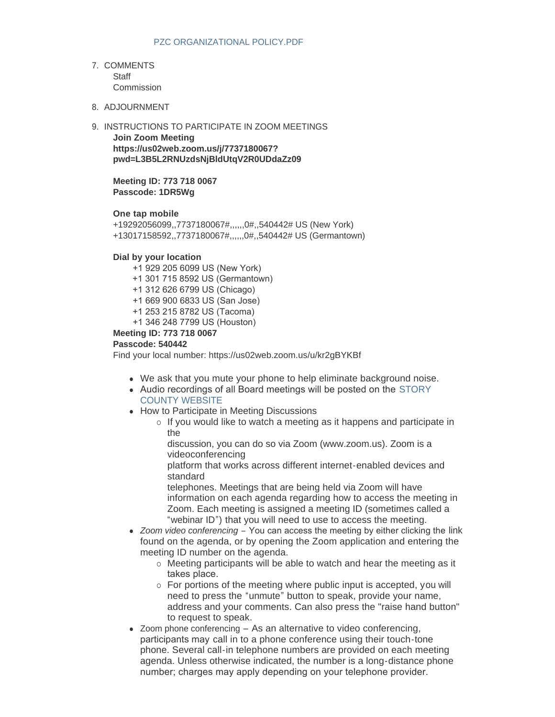- 7. COMMENTS **Staff** Commission
- 8. ADJOURNMENT
- 9. INSTRUCTIONS TO PARTICIPATE IN ZOOM MEETINGS

**Join Zoom Meeting https://us02web.zoom.us/j/7737180067? pwd=L3B5L2RNUzdsNjBldUtqV2R0UDdaZz09**

**Meeting ID: 773 718 0067 Passcode: 1DR5Wg**

### **One tap mobile**

+19292056099,,7737180067#,,,,,,0#,,540442# US (New York) +13017158592,,7737180067#,,,,,,0#,,540442# US (Germantown)

#### **Dial by your location**

+1 929 205 6099 US (New York)

- +1 301 715 8592 US (Germantown)
- +1 312 626 6799 US (Chicago)
- +1 669 900 6833 US (San Jose)
- +1 253 215 8782 US (Tacoma)
- +1 346 248 7799 US (Houston)

#### **Meeting ID: 773 718 0067**

#### **Passcode: 540442**

Find your local number: https://us02web.zoom.us/u/kr2gBYKBf

- We ask that you mute your phone to help eliminate background noise.
- Audio recordings of all Board meetings will be posted on the STORY COUNTY WEBSITE
- How to Participate in Meeting Discussions
	- $\circ$  If you would like to watch a meeting as it happens and participate in the

discussion, you can do so via Zoom (www.zoom.us). Zoom is a videoconferencing

platform that works across different internet-enabled devices and standard

telephones. Meetings that are being held via Zoom will have information on each agenda regarding how to access the meeting in Zoom. Each meeting is assigned a meeting ID (sometimes called a "webinar ID") that you will need to use to access the meeting.

- *Zoom video conferencing* You can access the meeting by either clicking the link found on the agenda, or by opening the Zoom application and entering the meeting ID number on the agenda.
	- o Meeting participants will be able to watch and hear the meeting as it takes place.
	- o For portions of the meeting where public input is accepted, you will need to press the "unmute" button to speak, provide your name, address and your comments. Can also press the "raise hand button" to request to speak.
- $\bullet$  Zoom phone conferencing As an alternative to video conferencing, participants may call in to a phone conference using their touch-tone phone. Several call-in telephone numbers are provided on each meeting agenda. Unless otherwise indicated, the number is a long-distance phone number; charges may apply depending on your telephone provider.